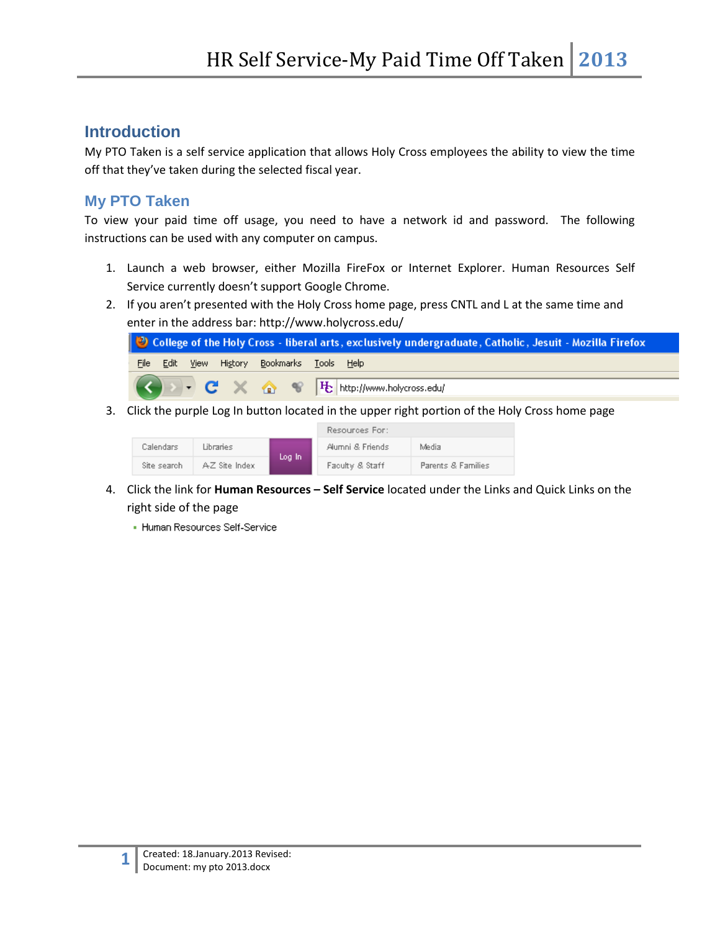### **Introduction**

My PTO Taken is a self service application that allows Holy Cross employees the ability to view the time off that they've taken during the selected fiscal year.

### **My PTO Taken**

To view your paid time off usage, you need to have a network id and password. The following instructions can be used with any computer on campus.

- 1. Launch a web browser, either Mozilla FireFox or Internet Explorer. Human Resources Self Service currently doesn't support Google Chrome.
- 2. If you aren't presented with the Holy Cross home page, press CNTL and L at the same time and enter in the address bar: http://www.holycross.edu/



3. Click the purple Log In button located in the upper right portion of the Holy Cross home page

|             |               |        | Resources For:   |                    |
|-------------|---------------|--------|------------------|--------------------|
| Calendars   | Libraries     | Log In | Alumni & Friends | Media              |
| Site search | AZ Site Index |        | Faculty & Staff  | Parents & Families |

- 4. Click the link for **Human Resources – Self Service** located under the Links and Quick Links on the right side of the page
	- Human Resources Self-Service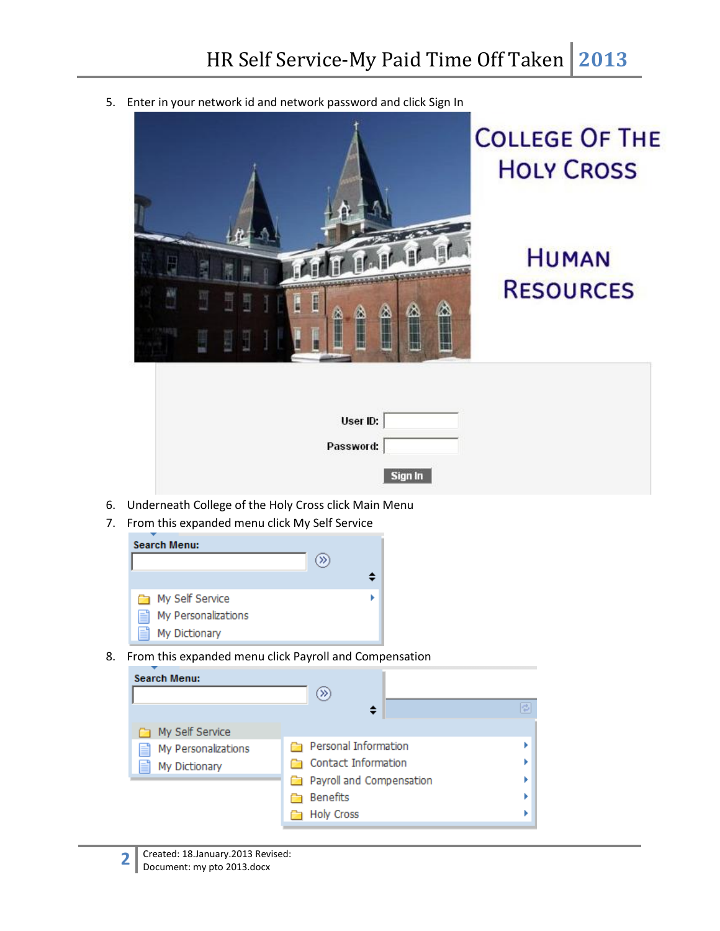5. Enter in your network id and network password and click Sign In



# **COLLEGE OF THE HOLY CROSS**

## **HUMAN RESOURCES**

| User ID:  |  |
|-----------|--|
| Password: |  |
| Sign In   |  |

- 6. Underneath College of the Holy Cross click Main Menu
- 7. From this expanded menu click My Self Service



8. From this expanded menu click Payroll and Compensation

| Search Menu:                                                      | ≫                                                                                                               |    |
|-------------------------------------------------------------------|-----------------------------------------------------------------------------------------------------------------|----|
| My Self Service<br>My Personalizations<br>≣<br>≝<br>My Dictionary | Personal Information<br>Contact Information<br>Payroll and Compensation<br><b>Benefits</b><br><b>Holy Cross</b> | ¢. |

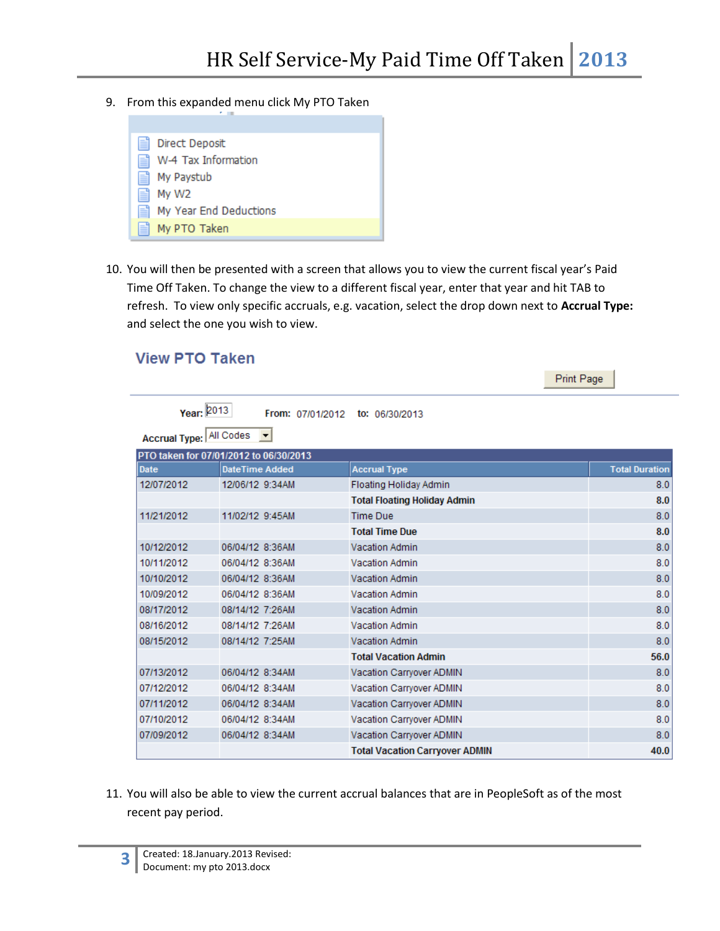9. From this expanded menu click My PTO Taken

| Ħ | Direct Deposit         |
|---|------------------------|
| e | W-4 Tax Information    |
| 昌 | My Paystub             |
| 昌 | My W <sub>2</sub>      |
| ⊫ | My Year End Deductions |
| Ħ | My PTO Taken           |

10. You will then be presented with a screen that allows you to view the current fiscal year's Paid Time Off Taken. To change the view to a different fiscal year, enter that year and hit TAB to refresh. To view only specific accruals, e.g. vacation, select the drop down next to **Accrual Type:** and select the one you wish to view.

#### **View PTO Taken**

Print Page

| Year: 2013              |                                        | From: 07/01/2012 to: 06/30/2013       |                       |
|-------------------------|----------------------------------------|---------------------------------------|-----------------------|
| Accrual Type: All Codes |                                        |                                       |                       |
|                         | PTO taken for 07/01/2012 to 06/30/2013 |                                       |                       |
| Date                    | <b>DateTime Added</b>                  | <b>Accrual Type</b>                   | <b>Total Duration</b> |
| 12/07/2012              | 12/06/12 9:34AM                        | Floating Holiday Admin                | 8.0                   |
|                         |                                        | <b>Total Floating Holiday Admin</b>   | 8.0                   |
| 11/21/2012              | 11/02/12 9:45AM                        | <b>Time Due</b>                       | 8.0                   |
|                         |                                        | <b>Total Time Due</b>                 | 8.0                   |
| 10/12/2012              | 06/04/12 8:36AM                        | <b>Vacation Admin</b>                 | 8.0                   |
| 10/11/2012              | 06/04/12 8:36AM                        | <b>Vacation Admin</b>                 | 8.0                   |
| 10/10/2012              | 06/04/12 8:36AM                        | Vacation Admin                        | 8.0                   |
| 10/09/2012              | 06/04/12 8:36AM                        | Vacation Admin                        | 8.0                   |
| 08/17/2012              | 08/14/12 7:26AM                        | <b>Vacation Admin</b>                 | 8.0                   |
| 08/16/2012              | 08/14/12 7:26AM                        | <b>Vacation Admin</b>                 | 8.0                   |
| 08/15/2012              | 08/14/12 7:25AM                        | <b>Vacation Admin</b>                 | 8.0                   |
|                         |                                        | <b>Total Vacation Admin</b>           | 56.0                  |
| 07/13/2012              | 06/04/12 8:34AM                        | Vacation Carryover ADMIN              | 8.0                   |
| 07/12/2012              | 06/04/12 8:34AM                        | Vacation Carryover ADMIN              | 8.0                   |
| 07/11/2012              | 06/04/12 8:34AM                        | Vacation Carryover ADMIN              | 8.0                   |
| 07/10/2012              | 06/04/12 8:34AM                        | Vacation Carryover ADMIN              | 8.0                   |
| 07/09/2012              | 06/04/12 8:34AM                        | Vacation Carryover ADMIN              | 8.0                   |
|                         |                                        | <b>Total Vacation Carryover ADMIN</b> | 40.0                  |

11. You will also be able to view the current accrual balances that are in PeopleSoft as of the most recent pay period.

**3**